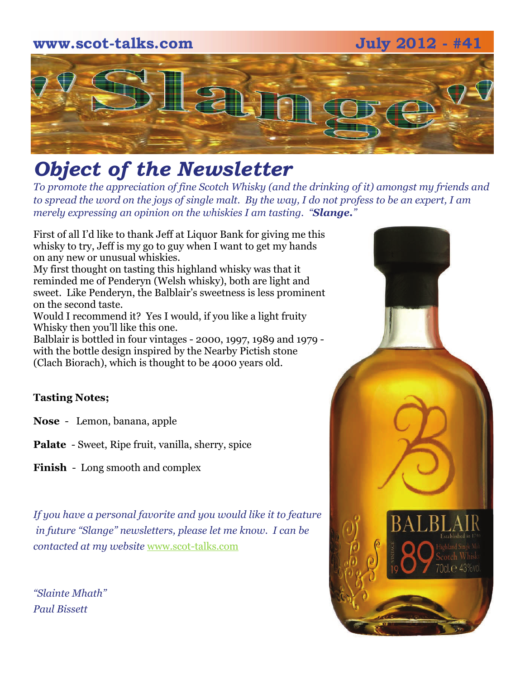# **www.scot-talks.com July 2012 - #41**  $\geq$

### *Object of the Newsletter*

*To promote the appreciation of fine Scotch Whisky (and the drinking of it) amongst my friends and to spread the word on the joys of single malt. By the way, I do not profess to be an expert, I am merely expressing an opinion on the whiskies I am tasting. "Slange."* 

First of all I'd like to thank Jeff at Liquor Bank for giving me this whisky to try, Jeff is my go to guy when I want to get my hands on any new or unusual whiskies.

My first thought on tasting this highland whisky was that it reminded me of Penderyn (Welsh whisky), both are light and sweet. Like Penderyn, the Balblair's sweetness is less prominent on the second taste.

Would I recommend it? Yes I would, if you like a light fruity Whisky then you'll like this one.

Balblair is bottled in four vintages - 2000, 1997, 1989 and 1979 with the bottle design inspired by the Nearby Pictish stone (Clach Biorach), which is thought to be 4000 years old.

#### **Tasting Notes;**

**Nose** - Lemon, banana, apple

**Palate** - Sweet, Ripe fruit, vanilla, sherry, spice

**Finish** - Long smooth and complex

*If you have a personal favorite and you would like it to feature in future "Slange" newsletters, please let me know. I can be contacted at my website* [www.scot-talks.com](http://www.scot-talks.com/default.html)

*"Slainte Mhath" Paul Bissett*

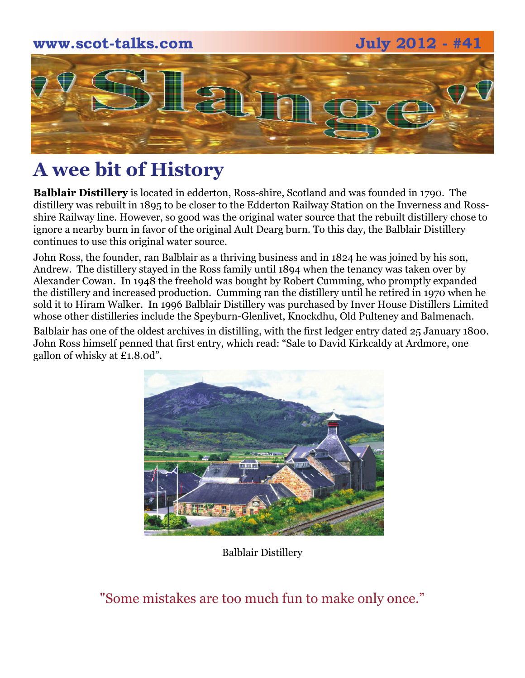# **www.scot-talks.com July 2012 - #41**  $\leq$

### **A wee bit of History**

**Balblair Distillery** is located in edderton, Ross-shire, Scotland and was founded in 1790. The distillery was rebuilt in 1895 to be closer to the Edderton Railway Station on the Inverness and Rossshire Railway line. However, so good was the original water source that the rebuilt distillery chose to ignore a nearby burn in favor of the original Ault Dearg burn. To this day, the Balblair Distillery continues to use this original water source.

John Ross, the founder, ran Balblair as a thriving business and in 1824 he was joined by his son, Andrew. The distillery stayed in the Ross family until 1894 when the tenancy was taken over by Alexander Cowan. In 1948 the freehold was bought by Robert Cumming, who promptly expanded the distillery and increased production. Cumming ran the distillery until he retired in 1970 when he sold it to Hiram Walker. In 1996 Balblair Distillery was purchased by Inver House Distillers Limited whose other distilleries include the Speyburn-Glenlivet, Knockdhu, Old Pulteney and Balmenach.

Balblair has one of the oldest archives in distilling, with the first ledger entry dated 25 January 1800. John Ross himself penned that first entry, which read: "Sale to David Kirkcaldy at Ardmore, one gallon of whisky at £1.8.0d".



Balblair Distillery

"Some mistakes are too much fun to make only once."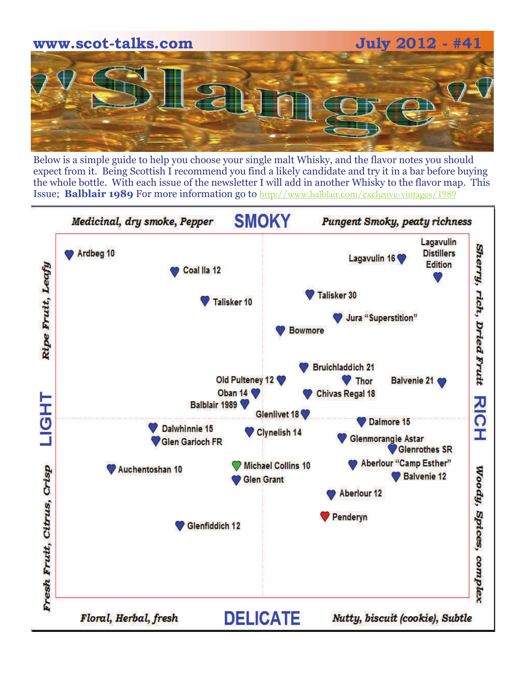

Below is a simple guide to help you choose your single malt Whisky, and the flavor notes you should expect from it. Being Scottish I recommend you find a likely candidate and try it in a bar before buying the whole bottle. With each issue of the newsletter I will add in another Whisky to the flavor map. This Issue; **Balblair 1989** For more information go to <http://www.balblair.com/exclusive-vintages/1989>